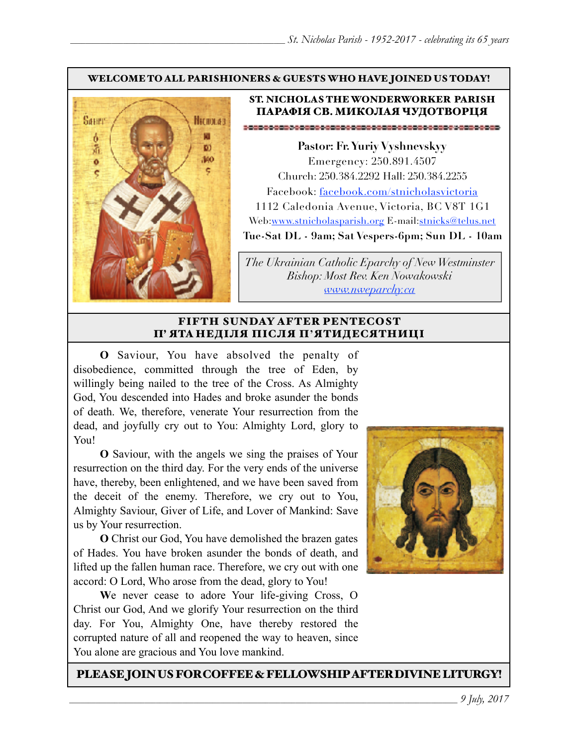#### WELCOME TO ALL PARISHIONERS & GUESTS WHO HAVE JOINED US TODAY!



#### ST. NICHOLAS THE WONDERWORKER PARISH ПАРАФІЯ СВ. МИКОЛАЯ ЧУДОТВОРЦЯ

**Pastor: Fr. Yuriy Vyshnevskyy** Emergency: 250.891.4507 Church: 250.384.2292 Hall: 250.384.2255 Facebook: facebook.com/stnicholasvictoria 1112 Caledonia Avenue, Victoria, BC V8T 1G1 Web[:www.stnicholasparish.org](http://www.stnicholasparish.org) E-mail:[stnicks@telus.net](mailto:stnicks@telus.net) **Tue-Sat DL - 9am; Sat Vespers-6pm; Sun DL - 10am**

*The Ukrainian Catholic Eparchy of New Westminster Bishop: Most Rev. Ken Nowakowski [www.nweparchy.ca](http://www.nweparchy.ca)*

#### FIFTH SUNDAY AFTER PENTECOST П' ЯТА НЕДІЛЯ ПІСЛЯ П**'**ЯТИДЕСЯТНИЦІ

**O** Saviour, You have absolved the penalty of disobedience, committed through the tree of Eden, by willingly being nailed to the tree of the Cross. As Almighty God, You descended into Hades and broke asunder the bonds of death. We, therefore, venerate Your resurrection from the dead, and joyfully cry out to You: Almighty Lord, glory to You!

**O** Saviour, with the angels we sing the praises of Your resurrection on the third day. For the very ends of the universe have, thereby, been enlightened, and we have been saved from the deceit of the enemy. Therefore, we cry out to You, Almighty Saviour, Giver of Life, and Lover of Mankind: Save us by Your resurrection.

**O** Christ our God, You have demolished the brazen gates of Hades. You have broken asunder the bonds of death, and lifted up the fallen human race. Therefore, we cry out with one accord: O Lord, Who arose from the dead, glory to You!

**W**e never cease to adore Your life-giving Cross, O Christ our God, And we glorify Your resurrection on the third day. For You, Almighty One, have thereby restored the corrupted nature of all and reopened the way to heaven, since You alone are gracious and You love mankind.



#### PLEASE JOIN US FOR COFFEE & FELLOWSHIP AFTER DIVINE LITURGY!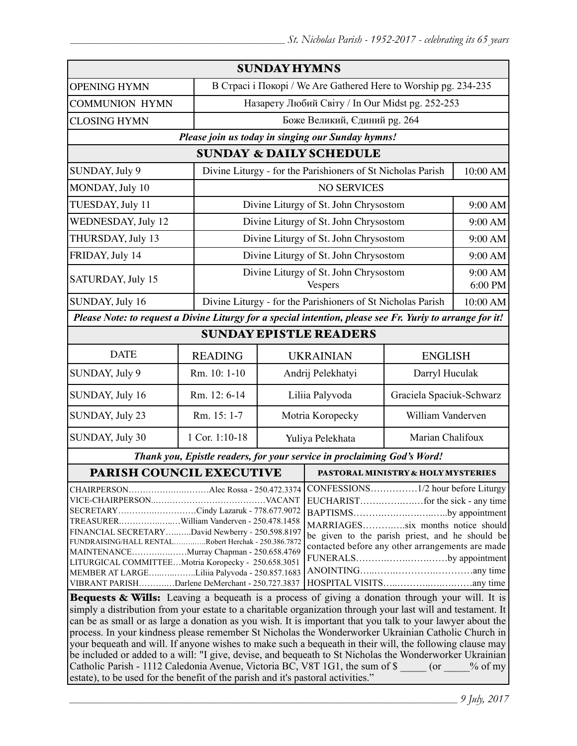| <b>SUNDAY HYMNS</b>                                                                                                                                                                                                                                                                                                                                                                                                                                                                                                                                                                        |                                                 |                                                                 |                                                             |                          |                    |  |
|--------------------------------------------------------------------------------------------------------------------------------------------------------------------------------------------------------------------------------------------------------------------------------------------------------------------------------------------------------------------------------------------------------------------------------------------------------------------------------------------------------------------------------------------------------------------------------------------|-------------------------------------------------|-----------------------------------------------------------------|-------------------------------------------------------------|--------------------------|--------------------|--|
| <b>OPENING HYMN</b>                                                                                                                                                                                                                                                                                                                                                                                                                                                                                                                                                                        |                                                 | В Страсі і Покорі / We Are Gathered Here to Worship pg. 234-235 |                                                             |                          |                    |  |
| <b>COMMUNION HYMN</b>                                                                                                                                                                                                                                                                                                                                                                                                                                                                                                                                                                      |                                                 | Назарету Любий Світу / In Our Midst pg. 252-253                 |                                                             |                          |                    |  |
| <b>CLOSING HYMN</b>                                                                                                                                                                                                                                                                                                                                                                                                                                                                                                                                                                        |                                                 | Боже Великий, Єдиний рg. 264                                    |                                                             |                          |                    |  |
| Please join us today in singing our Sunday hymns!                                                                                                                                                                                                                                                                                                                                                                                                                                                                                                                                          |                                                 |                                                                 |                                                             |                          |                    |  |
| <b>SUNDAY &amp; DAILY SCHEDULE</b>                                                                                                                                                                                                                                                                                                                                                                                                                                                                                                                                                         |                                                 |                                                                 |                                                             |                          |                    |  |
| SUNDAY, July 9                                                                                                                                                                                                                                                                                                                                                                                                                                                                                                                                                                             |                                                 | Divine Liturgy - for the Parishioners of St Nicholas Parish     |                                                             | 10:00 AM                 |                    |  |
| MONDAY, July 10                                                                                                                                                                                                                                                                                                                                                                                                                                                                                                                                                                            |                                                 | <b>NO SERVICES</b>                                              |                                                             |                          |                    |  |
| TUESDAY, July 11                                                                                                                                                                                                                                                                                                                                                                                                                                                                                                                                                                           |                                                 | Divine Liturgy of St. John Chrysostom                           |                                                             |                          | 9:00 AM            |  |
| WEDNESDAY, July 12                                                                                                                                                                                                                                                                                                                                                                                                                                                                                                                                                                         |                                                 |                                                                 | Divine Liturgy of St. John Chrysostom                       |                          | 9:00 AM            |  |
| THURSDAY, July 13                                                                                                                                                                                                                                                                                                                                                                                                                                                                                                                                                                          |                                                 |                                                                 | Divine Liturgy of St. John Chrysostom                       |                          | 9:00 AM            |  |
| FRIDAY, July 14                                                                                                                                                                                                                                                                                                                                                                                                                                                                                                                                                                            |                                                 | Divine Liturgy of St. John Chrysostom                           |                                                             |                          | 9:00 AM            |  |
| SATURDAY, July 15                                                                                                                                                                                                                                                                                                                                                                                                                                                                                                                                                                          |                                                 | Divine Liturgy of St. John Chrysostom<br>Vespers                |                                                             |                          | 9:00 AM<br>6:00 PM |  |
| SUNDAY, July 16                                                                                                                                                                                                                                                                                                                                                                                                                                                                                                                                                                            |                                                 |                                                                 | Divine Liturgy - for the Parishioners of St Nicholas Parish |                          | 10:00 AM           |  |
| Please Note: to request a Divine Liturgy for a special intention, please see Fr. Yuriy to arrange for it!                                                                                                                                                                                                                                                                                                                                                                                                                                                                                  |                                                 |                                                                 |                                                             |                          |                    |  |
| <b>SUNDAY EPISTLE READERS</b>                                                                                                                                                                                                                                                                                                                                                                                                                                                                                                                                                              |                                                 |                                                                 |                                                             |                          |                    |  |
| <b>DATE</b>                                                                                                                                                                                                                                                                                                                                                                                                                                                                                                                                                                                | <b>READING</b>                                  | <b>UKRAINIAN</b><br><b>ENGLISH</b>                              |                                                             |                          |                    |  |
| SUNDAY, July 9                                                                                                                                                                                                                                                                                                                                                                                                                                                                                                                                                                             | Rm. 10: 1-10                                    | Andrij Pelekhatyi                                               |                                                             | Darryl Huculak           |                    |  |
| SUNDAY, July 16                                                                                                                                                                                                                                                                                                                                                                                                                                                                                                                                                                            | Rm. 12: 6-14                                    | Liliia Palyvoda                                                 |                                                             | Graciela Spaciuk-Schwarz |                    |  |
| SUNDAY, July 23                                                                                                                                                                                                                                                                                                                                                                                                                                                                                                                                                                            | Rm. 15: 1-7                                     | Motria Koropecky                                                |                                                             | William Vanderven        |                    |  |
| SUNDAY, July 30                                                                                                                                                                                                                                                                                                                                                                                                                                                                                                                                                                            | 1 Cor. 1:10-18                                  | Yuliya Pelekhata                                                |                                                             | Marian Chalifoux         |                    |  |
| Thank you, Epistle readers, for your service in proclaiming God's Word!                                                                                                                                                                                                                                                                                                                                                                                                                                                                                                                    |                                                 |                                                                 |                                                             |                          |                    |  |
| PARISH COUNCIL EXECUTIVE                                                                                                                                                                                                                                                                                                                                                                                                                                                                                                                                                                   |                                                 |                                                                 | <b>PASTORAL MINISTRY &amp; HOLY MYSTERIES</b>               |                          |                    |  |
| CHAIRPERSONAlec Rossa - 250.472.3374<br>SECRETARYCindy Lazaruk - 778.677.9072<br>BAPTISMSby appointment<br>TREASURERWilliam Vanderven - 250.478.1458<br>MARRIAGESsix months notice should<br>FINANCIAL SECRETARYDavid Newberry - 250.598.8197<br>be given to the parish priest, and he should be<br>FUNDRAISING/HALL RENTALRobert Herchak - 250.386.7872<br>contacted before any other arrangements are made<br>MAINTENANCEMurray Chapman - 250.658.4769<br>FUNERALSby appointment<br>LITURGICAL COMMITTEEMotria Koropecky - 250.658.3051<br>MEMBER AT LARGELiliia Palyvoda - 250.857.1683 |                                                 |                                                                 |                                                             |                          |                    |  |
|                                                                                                                                                                                                                                                                                                                                                                                                                                                                                                                                                                                            | VIBRANT PARISHDarlene DeMerchant - 250.727.3837 |                                                                 |                                                             |                          |                    |  |
| Bequests & Wills: Leaving a bequeath is a process of giving a donation through your will. It is                                                                                                                                                                                                                                                                                                                                                                                                                                                                                            |                                                 |                                                                 |                                                             |                          |                    |  |

simply a distribution from your estate to a charitable organization through your last will and testament. It can be as small or as large a donation as you wish. It is important that you talk to your lawyer about the process. In your kindness please remember St Nicholas the Wonderworker Ukrainian Catholic Church in your bequeath and will. If anyone wishes to make such a bequeath in their will, the following clause may be included or added to a will: "I give, devise, and bequeath to St Nicholas the Wonderworker Ukrainian Catholic Parish - 1112 Caledonia Avenue, Victoria BC, V8T 1G1, the sum of \$  $\qquad \qquad$  (or  $\qquad \qquad$  % of my estate), to be used for the benefit of the parish and it's pastoral activities."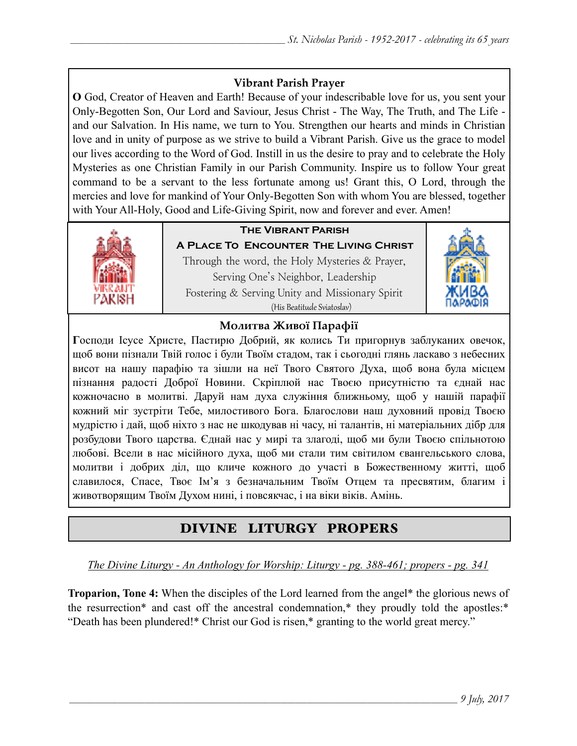## **Vibrant Parish Prayer**

**O** God, Creator of Heaven and Earth! Because of your indescribable love for us, you sent your Only-Begotten Son, Our Lord and Saviour, Jesus Christ - The Way, The Truth, and The Life and our Salvation. In His name, we turn to You. Strengthen our hearts and minds in Christian love and in unity of purpose as we strive to build a Vibrant Parish. Give us the grace to model our lives according to the Word of God. Instill in us the desire to pray and to celebrate the Holy Mysteries as one Christian Family in our Parish Community. Inspire us to follow Your great command to be a servant to the less fortunate among us! Grant this, O Lord, through the mercies and love for mankind of Your Only-Begotten Son with whom You are blessed, together with Your All-Holy, Good and Life-Giving Spirit, now and forever and ever. Amen!



## **The Vibrant Parish**

**A Place To Encounter The Living Christ** Through the word, the Holy Mysteries & Prayer, Serving One's Neighbor, Leadership Fostering & Serving Unity and Missionary Spirit (His Beatitude Sviatoslav)



## **Молитва Живої Парафії**

**Г**осподи Ісусе Христе, Пастирю Добрий, як колись Ти пригорнув заблуканих овечок, щоб вони пізнали Твій голос і були Твоїм стадом, так і сьогодні глянь ласкаво з небесних висот на нашу парафію та зішли на неї Твого Святого Духа, щоб вона була місцем пізнання радості Доброї Новини. Скріплюй нас Твоєю присутністю та єднай нас кожночасно в молитві. Даруй нам духа служіння ближньому, щоб у нашій парафії кожний міг зустріти Тебе, милостивого Бога. Благослови наш духовний провід Твоєю мудрістю і дай, щоб ніхто з нас не шкодував ні часу, ні талантів, ні матеріальних дібр для розбудови Твого царства. Єднай нас у мирі та злагоді, щоб ми були Твоєю спільнотою любові. Всели в нас місійного духа, щоб ми стали тим світилом євангельського слова, молитви і добрих діл, що кличе кожного до участі в Божественному житті, щоб славилося, Спасе, Твоє Ім'я з безначальним Твоїм Отцем та пресвятим, благим і животворящим Твоїм Духом нині, і повсякчас, і на віки віків. Амінь.

# DIVINE LITURGY PROPERS

*The Divine Liturgy - An Anthology for Worship: Liturgy - pg. 388-461; propers - pg. 341* 

**Troparion, Tone 4:** When the disciples of the Lord learned from the angel\* the glorious news of the resurrection\* and cast off the ancestral condemnation,\* they proudly told the apostles:\* "Death has been plundered!\* Christ our God is risen,\* granting to the world great mercy."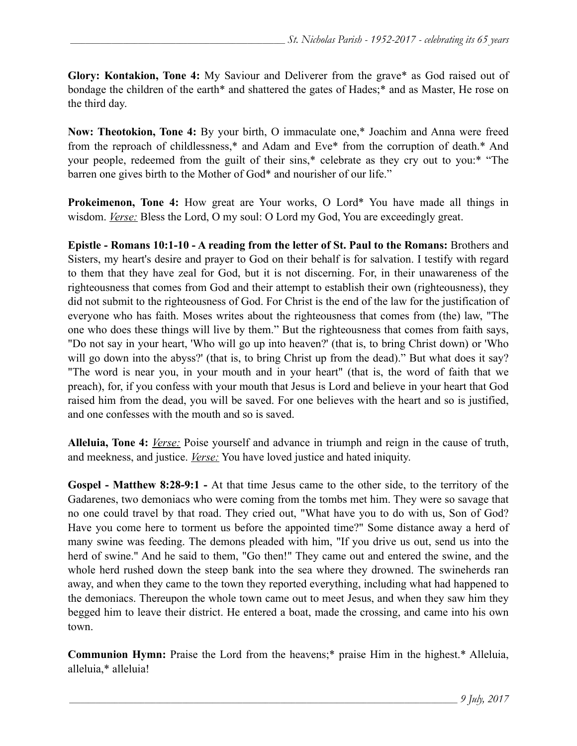**Glory: Kontakion, Tone 4:** My Saviour and Deliverer from the grave\* as God raised out of bondage the children of the earth\* and shattered the gates of Hades;\* and as Master, He rose on the third day.

**Now: Theotokion, Tone 4:** By your birth, O immaculate one,\* Joachim and Anna were freed from the reproach of childlessness,\* and Adam and Eve\* from the corruption of death.\* And your people, redeemed from the guilt of their sins,\* celebrate as they cry out to you:\* "The barren one gives birth to the Mother of God\* and nourisher of our life."

**Prokeimenon, Tone 4:** How great are Your works, O Lord\* You have made all things in wisdom. *Verse:* Bless the Lord, O my soul: O Lord my God, You are exceedingly great.

**Epistle - Romans 10:1-10 - A reading from the letter of St. Paul to the Romans:** Brothers and Sisters, my heart's desire and prayer to God on their behalf is for salvation. I testify with regard to them that they have zeal for God, but it is not discerning. For, in their unawareness of the righteousness that comes from God and their attempt to establish their own (righteousness), they did not submit to the righteousness of God. For Christ is the end of the law for the justification of everyone who has faith. Moses writes about the righteousness that comes from (the) law, "The one who does these things will live by them." But the righteousness that comes from faith says, "Do not say in your heart, 'Who will go up into heaven?' (that is, to bring Christ down) or 'Who will go down into the abyss?' (that is, to bring Christ up from the dead)." But what does it say? "The word is near you, in your mouth and in your heart" (that is, the word of faith that we preach), for, if you confess with your mouth that Jesus is Lord and believe in your heart that God raised him from the dead, you will be saved. For one believes with the heart and so is justified, and one confesses with the mouth and so is saved.

**Alleluia, Tone 4:** *Verse:* Poise yourself and advance in triumph and reign in the cause of truth, and meekness, and justice. *Verse:* You have loved justice and hated iniquity.

**Gospel - Matthew 8:28-9:1 -** At that time Jesus came to the other side, to the territory of the Gadarenes, two demoniacs who were coming from the tombs met him. They were so savage that no one could travel by that road. They cried out, "What have you to do with us, Son of God? Have you come here to torment us before the appointed time?" Some distance away a herd of many swine was feeding. The demons pleaded with him, "If you drive us out, send us into the herd of swine." And he said to them, "Go then!" They came out and entered the swine, and the whole herd rushed down the steep bank into the sea where they drowned. The swineherds ran away, and when they came to the town they reported everything, including what had happened to the demoniacs. Thereupon the whole town came out to meet Jesus, and when they saw him they begged him to leave their district. He entered a boat, made the crossing, and came into his own town.

**Communion Hymn:** Praise the Lord from the heavens;\* praise Him in the highest.\* Alleluia, alleluia,\* alleluia!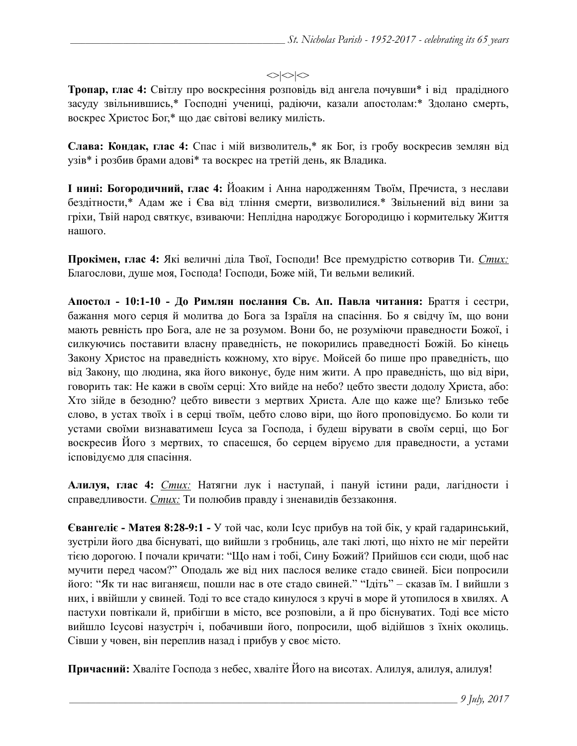#### $\langle$

**Тропар, глас 4:** Світлу про воскресіння розповідь від ангела почувши\* і від прадідного засуду звільнившись,\* Господні учениці, радіючи, казали апостолам:\* Здолано смерть, воскрес Христос Бог,\* що дає світові велику милість.

**Слава: Кондак, глас 4:** Спас і мій визволитель,\* як Бог, із гробу воскресив землян від узів\* і розбив брами адові\* та воскрес на третій день, як Владика.

**І нині: Богородичний, глас 4:** Йоаким і Анна народженням Твоїм, Пречиста, з неслави бездітности,\* Адам же і Єва від тління смерти, визволилися.\* Звільнений від вини за гріхи, Твій народ святкує, взиваючи: Неплідна народжує Богородицю і кормительку Життя нашого.

**Прокімен, глас 4:** Які величні діла Твої, Господи! Все премудрістю сотворив Ти. *Стих:* Благослови, душе моя, Господа! Господи, Боже мій, Ти вельми великий.

**Апостол - 10:1-10 - До Римлян послання Св. Ап. Павла читання:** Браття і сестри, бажання мого серця й молитва до Бога за Ізраїля на спасіння. Бо я свідчу їм, що вони мають ревність про Бога, але не за розумом. Вони бо, не розуміючи праведности Божої, і силкуючись поставити власну праведність, не покорились праведності Божій. Бо кінець Закону Христос на праведність кожному, хто вірує. Мойсей бо пише про праведність, що від Закону, що людина, яка його виконує, буде ним жити. А про праведність, що від віри, говорить так: Не кажи в своїм серці: Хто вийде на небо? цебто звести додолу Христа, або: Хто зійде в безодню? цебто вивести з мертвих Христа. Але що каже ще? Близько тебе слово, в устах твоїх і в серці твоїм, цебто слово віри, що його проповідуємо. Бо коли ти устами своїми визнаватимеш Ісуса за Господа, і будеш вірувати в своїм серці, що Бог воскресив Його з мертвих, то спасешся, бо серцем віруємо для праведности, а устами ісповідуємо для спасіння.

**Алилуя, глас 4:** *Стих:* Натягни лук і наступай, і пануй істини ради, лагідности і справедливости. *Стих:* Ти полюбив правду і зненавидів беззаконня.

**Євангеліє - Матея 8:28-9:1 -** У той час, коли Ісус прибув на той бік, у край гадаринський, зустріли його два біснуваті, що вийшли з гробниць, але такі люті, що ніхто не міг перейти тією дорогою. І почали кричати: "Що нам і тобі, Сину Божий? Прийшов єси сюди, щоб нас мучити перед часом?" Оподаль же від них паслося велике стадо свиней. Біси попросили його: "Як ти нас виганяєш, пошли нас в оте стадо свиней." "Ідіть" - сказав їм. І вийшли з них, і ввійшли у свиней. Тоді то все стадо кинулося з кручі в море й утопилося в хвилях. А пастухи повтікали й, прибігши в місто, все розповіли, а й про біснуватих. Тоді все місто вийшло Ісусові назустріч і, побачивши його, попросили, щоб відійшов з їхніх околиць. Сівши у човен, він переплив назад і прибув у своє місто.

**Причасний:** Хваліте Господа з небес, хваліте Його на висотах. Алилуя, алилуя, алилуя!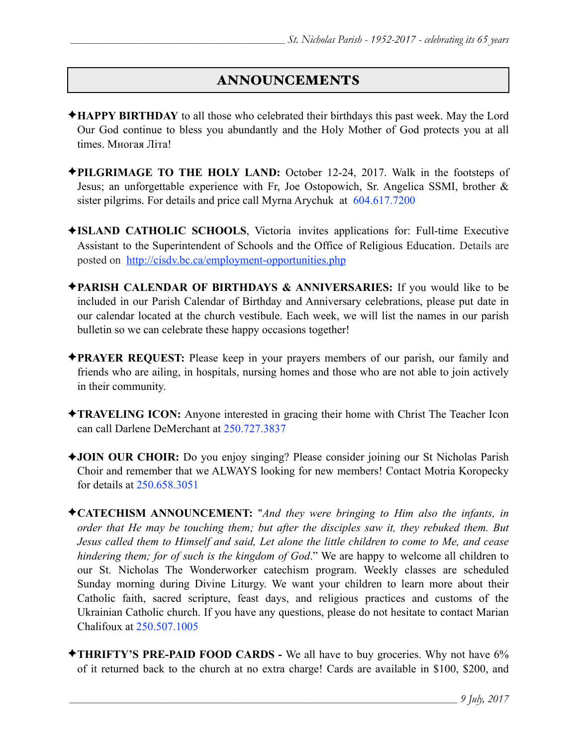# ANNOUNCEMENTS

- ✦**HAPPY BIRTHDAY** to all those who celebrated their birthdays this past week. May the Lord Our God continue to bless you abundantly and the Holy Mother of God protects you at all times. Многая Літа!
- ✦**PILGRIMAGE TO THE HOLY LAND:** October 12-24, 2017. Walk in the footsteps of Jesus; an unforgettable experience with Fr, Joe Ostopowich, Sr. Angelica SSMI, brother & sister pilgrims. For details and price call Myrna Arychuk at 604.617.7200
- ✦**ISLAND CATHOLIC SCHOOLS**, Victoria invites applications for: Full-time Executive Assistant to the Superintendent of Schools and the Office of Religious Education. Details are posted on <http://cisdv.bc.ca/employment-opportunities.php>
- ✦**PARISH CALENDAR OF BIRTHDAYS & ANNIVERSARIES:** If you would like to be included in our Parish Calendar of Birthday and Anniversary celebrations, please put date in our calendar located at the church vestibule. Each week, we will list the names in our parish bulletin so we can celebrate these happy occasions together!
- ✦**PRAYER REQUEST:** Please keep in your prayers members of our parish, our family and friends who are ailing, in hospitals, nursing homes and those who are not able to join actively in their community.
- ✦**TRAVELING ICON:** Anyone interested in gracing their home with Christ The Teacher Icon can call Darlene DeMerchant at 250.727.3837
- ✦**JOIN OUR CHOIR:** Do you enjoy singing? Please consider joining our St Nicholas Parish Choir and remember that we ALWAYS looking for new members! Contact Motria Koropecky for details at 250.658.3051
- ✦**CATECHISM ANNOUNCEMENT:** "*And they were bringing to Him also the infants, in order that He may be touching them; but after the disciples saw it, they rebuked them. But Jesus called them to Himself and said, Let alone the little children to come to Me, and cease hindering them; for of such is the kingdom of God*." We are happy to welcome all children to our St. Nicholas The Wonderworker catechism program. Weekly classes are scheduled Sunday morning during Divine Liturgy. We want your children to learn more about their Catholic faith, sacred scripture, feast days, and religious practices and customs of the Ukrainian Catholic church. If you have any questions, please do not hesitate to contact Marian Chalifoux at 250.507.1005
- ✦**THRIFTY'S PRE-PAID FOOD CARDS** We all have to buy groceries. Why not have 6% of it returned back to the church at no extra charge! Cards are available in \$100, \$200, and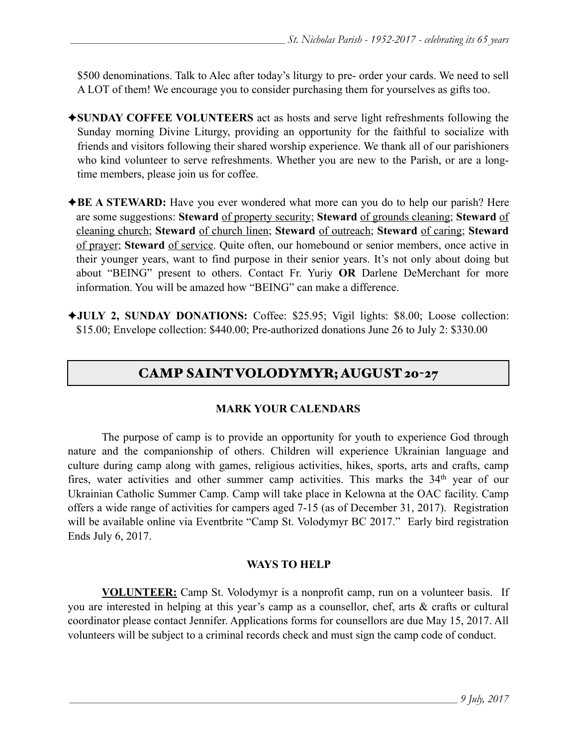\$500 denominations. Talk to Alec after today's liturgy to pre- order your cards. We need to sell A LOT of them! We encourage you to consider purchasing them for yourselves as gifts too.

- ✦**SUNDAY COFFEE VOLUNTEERS** act as hosts and serve light refreshments following the Sunday morning Divine Liturgy, providing an opportunity for the faithful to socialize with friends and visitors following their shared worship experience. We thank all of our parishioners who kind volunteer to serve refreshments. Whether you are new to the Parish, or are a longtime members, please join us for coffee.
- ◆**BE A STEWARD:** Have you ever wondered what more can you do to help our parish? Here are some suggestions: **Steward** of property security; **Steward** of grounds cleaning; **Steward** of cleaning church; **Steward** of church linen; **Steward** of outreach; **Steward** of caring; **Steward** of prayer; **Steward** of service. Quite often, our homebound or senior members, once active in their younger years, want to find purpose in their senior years. It's not only about doing but about "BEING" present to others. Contact Fr. Yuriy **OR** Darlene DeMerchant for more information. You will be amazed how "BEING" can make a difference.
- ✦**JULY 2, SUNDAY DONATIONS:** Coffee: \$25.95; Vigil lights: \$8.00; Loose collection: \$15.00; Envelope collection: \$440.00; Pre-authorized donations June 26 to July 2: \$330.00

# CAMP SAINT VOLODYMYR; AUGUST 20-27

#### **MARK YOUR CALENDARS**

 The purpose of camp is to provide an opportunity for youth to experience God through nature and the companionship of others. Children will experience Ukrainian language and culture during camp along with games, religious activities, hikes, sports, arts and crafts, camp fires, water activities and other summer camp activities. This marks the 34<sup>th</sup> year of our Ukrainian Catholic Summer Camp. Camp will take place in Kelowna at the OAC facility. Camp offers a wide range of activities for campers aged 7-15 (as of December 31, 2017). Registration will be available online via Eventbrite "Camp St. Volodymyr BC 2017." Early bird registration Ends July 6, 2017.

#### **WAYS TO HELP**

**VOLUNTEER:** Camp St. Volodymyr is a nonprofit camp, run on a volunteer basis. If you are interested in helping at this year's camp as a counsellor, chef, arts & crafts or cultural coordinator please contact Jennifer. Applications forms for counsellors are due May 15, 2017. All volunteers will be subject to a criminal records check and must sign the camp code of conduct.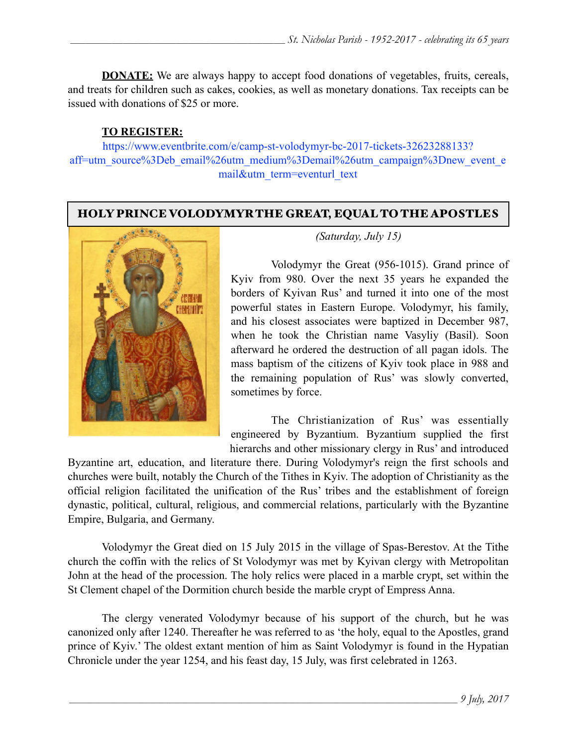**DONATE:** We are always happy to accept food donations of vegetables, fruits, cereals, and treats for children such as cakes, cookies, as well as monetary donations. Tax receipts can be issued with donations of \$25 or more.

### **TO REGISTER:**

[https://www.eventbrite.com/e/camp-st-volodymyr-bc-2017-tickets-32623288133?](https://www.eventbrite.com/e/camp-st-volodymyr-bc-2017-tickets-32623288133?aff=utm_source%3Deb_email%26utm_medium%3Demail%26utm_campaign%3Dnew_event_email&utm_term=eventurl_text) [aff=utm\\_source%3Deb\\_email%26utm\\_medium%3Demail%26utm\\_campaign%3Dnew\\_event\\_e](https://www.eventbrite.com/e/camp-st-volodymyr-bc-2017-tickets-32623288133?aff=utm_source%3Deb_email%26utm_medium%3Demail%26utm_campaign%3Dnew_event_email&utm_term=eventurl_text) [mail&utm\\_term=eventurl\\_text](https://www.eventbrite.com/e/camp-st-volodymyr-bc-2017-tickets-32623288133?aff=utm_source%3Deb_email%26utm_medium%3Demail%26utm_campaign%3Dnew_event_email&utm_term=eventurl_text)

## HOLY PRINCE VOLODYMYR THE GREAT, EQUAL TO THE APOSTLES



*(Saturday, July 15)*

 Volodymyr the Great (956-1015). Grand prince of Kyiv from 980. Over the next 35 years he expanded the borders of Kyivan Rus' and turned it into one of the most powerful states in Eastern Europe. Volodymyr, his family, and his closest associates were baptized in December 987, when he took the Christian name Vasyliy (Basil). Soon afterward he ordered the destruction of all pagan idols. The mass baptism of the citizens of Kyiv took place in 988 and the remaining population of Rus' was slowly converted, sometimes by force.

 The Christianization of Rus' was essentially engineered by Byzantium. Byzantium supplied the first hierarchs and other missionary clergy in Rus' and introduced

Byzantine art, education, and literature there. During Volodymyr's reign the first schools and churches were built, notably the Church of the Tithes in Kyiv. The adoption of Christianity as the official religion facilitated the unification of the Rus' tribes and the establishment of foreign dynastic, political, cultural, religious, and commercial relations, particularly with the Byzantine Empire, Bulgaria, and Germany.

 Volodymyr the Great died on 15 July 2015 in the village of Spas-Berestov. At the Tithe church the coffin with the relics of St Volodymyr was met by Kyivan clergy with Metropolitan John at the head of the procession. The holy relics were placed in a marble crypt, set within the St Clement chapel of the Dormition church beside the marble crypt of Empress Anna.

 The clergy venerated Volodymyr because of his support of the church, but he was canonized only after 1240. Thereafter he was referred to as 'the holy, equal to the Apostles, grand prince of Kyiv.' The oldest extant mention of him as Saint Volodymyr is found in the Hypatian Chronicle under the year 1254, and his feast day, 15 July, was first celebrated in 1263.